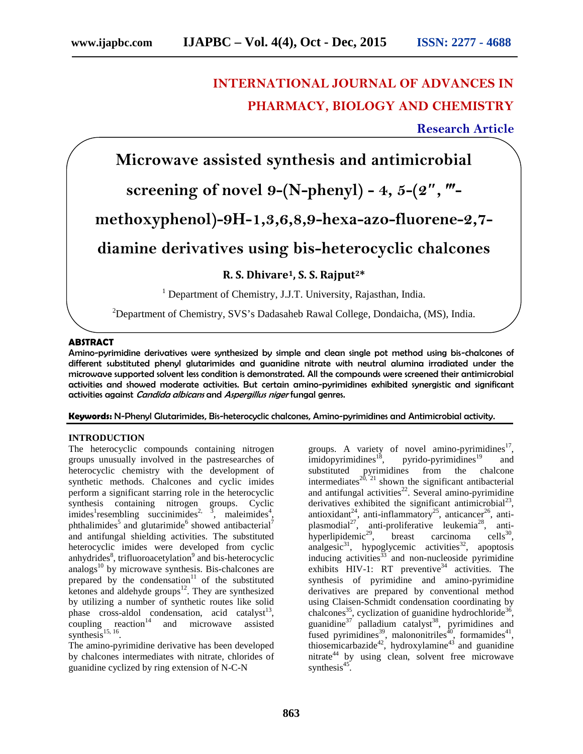# **INTERNATIONAL JOURNAL OF ADVANCES IN PHARMACY, BIOLOGY AND CHEMISTRY**

**Research Article**

**Microwave assisted synthesis and antimicrobial**

# **screening of novel 9-(N-phenyl) - 4, 5-(2 , ‴-**

**methoxyphenol)-9H-1,3,6,8,9-hexa-azo-fluorene-2,7-**

**diamine derivatives using bis-heterocyclic chalcones**

**R. S. Dhivare1, S. S. Rajput2\***

<sup>1</sup> Department of Chemistry, J.J.T. University, Rajasthan, India.

<sup>2</sup>Department of Chemistry, SVS's Dadasaheb Rawal College, Dondaicha, (MS), India.

### **ABSTRACT**

Amino-pyrimidine derivatives were synthesized by simple and clean single pot method using bis-chalcones of different substituted phenyl glutarimides and guanidine nitrate with neutral alumina irradiated under the microwave supported solvent less condition is demonstrated. All the compounds were screened their antimicrobial activities and showed moderate activities. But certain amino-pyrimidines exhibited synergistic and significant activities against *Candida albicans* and *Aspergillus niger* fungal genres.

**Keywords:** N-Phenyl Glutarimides, Bis-heterocyclic chalcones, Amino-pyrimidines and Antimicrobial activity.

### **INTRODUCTION**

The heterocyclic compounds containing nitrogen groups unusually involved in the pastresearches of heterocyclic chemistry with the development of synthetic methods. Chalcones and cyclic imides perform a significant starring role in the heterocyclic synthesis containing nitrogen groups. Cyclic imides<sup>1</sup> resembling succinimides<sup>2, 3</sup>, maleimides<sup>4</sup>, imides<sup>1</sup> resembling succinimides<sup>2, 3</sup>, maleimides<sup>4</sup>, phthalimides<sup>5</sup> and glutarimide<sup>6</sup> showed antibacterial<sup>7</sup> and antifungal shielding activities. The substituted heterocyclic imides were developed from cyclic anhydrides<sup>8</sup>, trifluoroacetylation<sup>9</sup> and bis-heterocyclic analogs<sup>10</sup> by microwave synthesis. Bis-chalcones are prepared by the condensation $11$  of the substituted  $k$ etones and aldehyde groups<sup>12</sup>. They are synthesized by utilizing a number of synthetic routes like solid phase cross-aldol condensation, acid catalyst<sup>13</sup>, coupling reaction<sup>14</sup> and microwave assisted synthesis $^{15, 16}$ .

The amino-pyrimidine derivative has been developed by chalcones intermediates with nitrate, chlorides of guanidine cyclized by ring extension of N-C-N

groups. A variety of novel amino-pyrimidines $17$ , ,  $imidopy$ imidines<sup>18</sup>, pyrido-pyrimidines<sup>19</sup> and substituted pyrimidines from the chalcone intermediates<sup>20, 21</sup> shown the significant antibacterial and antifungal activities $^{22}$ . Several amino-pyrimidine derivatives exhibited the significant antimicrobial<sup>23</sup>, antioxidant<sup>24</sup>, anti-inflammatory<sup>25</sup>, anticancer<sup>26</sup>, antiplasmodial<sup>27</sup>, anti-proliferative leukemia<sup>28</sup>, antihyperlipidemic<sup>29</sup>, breast carcinoma cells<sup>30</sup>, analgesic<sup>31</sup>, hypoglycemic activities<sup>32</sup>, apoptosis  $intanging ativities<sup>33</sup>$  and non-nucleoside pyrimidine exhibits  $HIV-1$ : RT preventive<sup>34</sup> activities. The synthesis of pyrimidine and amino-pyrimidine derivatives are prepared by conventional method using Claisen-Schmidt condensation coordinating by chalcones<sup>35</sup>, cyclization of guanidine hydrochloride<sup>36</sup>, guanidine<sup>37</sup> palladium catalyst<sup>38</sup>, pyrimidines and fused pyrimidines<sup>39</sup>, malononitriles<sup> $\bar{40}$ </sup>, formamides<sup>41</sup>, thiosemicarbazide<sup>42</sup>, hydroxylamine<sup>43</sup> and guanidine nitrate $^{44}$  by using clean, solvent free microwave synthesis $45$ .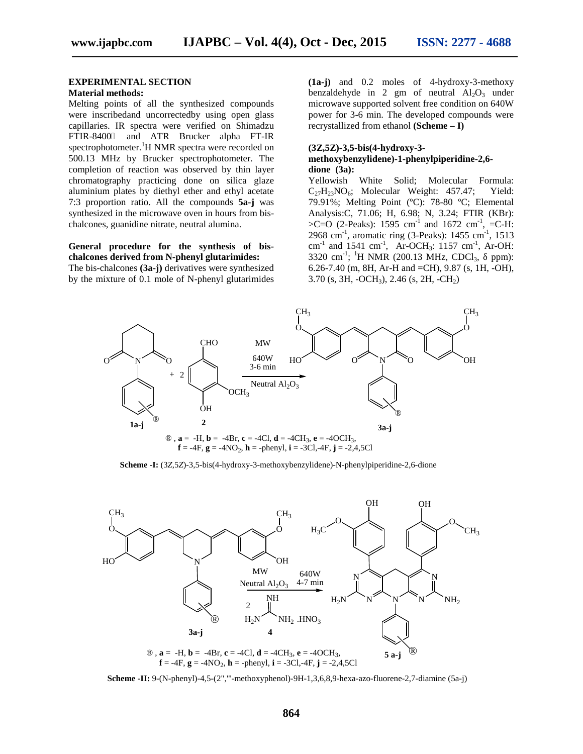#### **EXPERIMENTAL SECTION**

### **Material methods:**

Melting points of all the synthesized compounds were inscribedand uncorrectedby using open glass capillaries. IR spectra were verified on Shimadzu FTIR-8400 and ATR Brucker alpha FT-IR spectrophotometer.<sup>1</sup>H NMR spectra were recorded on 500.13 MHz by Brucker spectrophotometer. The completion of reaction was observed by thin layer chromatography practicing done on silica glaze aluminium plates by diethyl ether and ethyl acetate 7:3 proportion ratio. All the compounds **5a-j** was synthesized in the microwave oven in hours from bis chalcones, guanidine nitrate, neutral alumina.

### **General procedure for the synthesis of bis chalcones derived from N-phenyl glutarimides:**

The bis-chalcones **(3a-j)** derivatives were synthesized by the mixture of 0.1 mole of N-phenyl glutarimides

**(1a-j)** and 0.2 moles of 4-hydroxy-3-methoxy benzaldehyde in 2 gm of neutral  $Al_2O_3$  under microwave supported solvent free condition on 640W power for 3-6 min. The developed compounds were recrystallized from ethanol **(Scheme – I)**

#### **(3Z,5Z)-3,5-bis(4-hydroxy-3-**

#### **methoxybenzylidene)-1-phenylpiperidine-2,6 dione (3a):**

Yellowish White Solid; Molecular Formula:  $C_{27}H_{23}NO_6$ ; Molecular Weight: 457.47; Yield: 79.91%; Melting Point (ºC): 78-80 ºC; Elemental Analysis:C, 71.06; H, 6.98; N, 3.24; FTIR (KBr):  $>C=O$  (2-Peaks): 1595 cm<sup>-1</sup> and 1672 cm<sup>-1</sup>, =C-H: 2968 cm<sup>-1</sup>, aromatic ring (3-Peaks):  $1455$  cm<sup>-1</sup>, 1513 cm<sup>-1</sup> and 1541 cm<sup>-1</sup>, Ar-OCH<sub>3</sub>: 1157 cm<sup>-1</sup>, Ar-OH: 3320 cm<sup>-1</sup>; <sup>1</sup>H NMR (200.13 MHz, CDCl<sub>3</sub>, ppm): 6.26-7.40 (m, 8H, Ar-H and =CH), 9.87 (s, 1H, -OH),  $3.70$  (s,  $3H$ ,  $-OCH_3$ ),  $2.46$  (s,  $2H$ ,  $-CH_2$ )



**Scheme -I:**  $(3Z,5Z)$ -3,5-bis(4-hydroxy-3-methoxybenzylidene)-N-phenylpiperidine-2,6-dione



**Scheme -II:** 9-(N-phenyl)-4,5-(2","'-methoxyphenol)-9H-1,3,6,8,9-hexa-azo-fluorene-2,7-diamine (5a-j)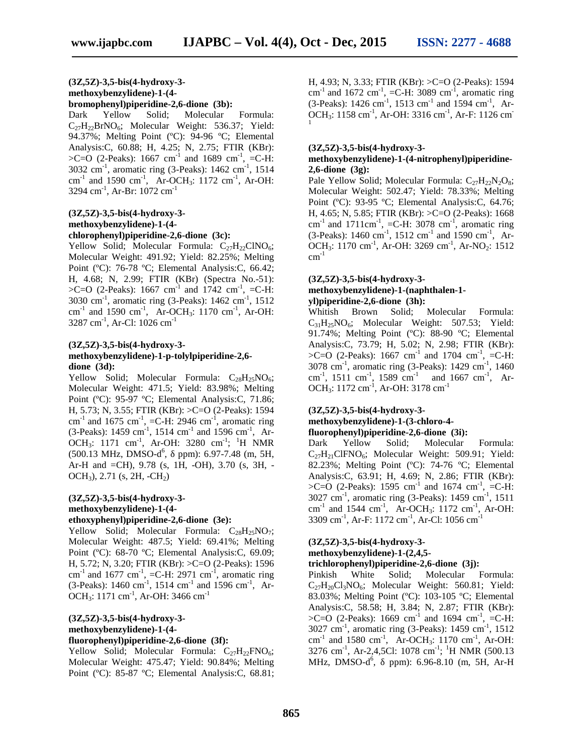#### **(3Z,5Z)-3,5-bis(4-hydroxy-3 methoxybenzylidene)-1-(4 bromophenyl)piperidine-2,6-dione (3b):**

Dark Yellow Solid; Molecular Formula:  $C_{27}H_{22}BrNO<sub>6</sub>; Molecular Weight: 536.37; Yield:$ 94.37%; Melting Point (ºC): 94-96 ºC; Elemental Analysis:C, 60.88; H, 4.25; N, 2.75; FTIR (KBr):  $>C=O$  (2-Peaks): 1667 cm<sup>-1</sup> and 1689 cm<sup>-1</sup>, =C-H:  $3032 \text{ cm}^{-1}$ , aromatic ring (3-Peaks):  $1462 \text{ cm}^{-1}$ ,  $1514$ cm<sup>-1</sup> and 1590 cm<sup>-1</sup>, Ar-OCH<sub>3</sub>: 1172 cm<sup>-1</sup>, Ar-OH: 3294 cm<sup>-1</sup>, Ar-Br: 1072 cm<sup>-1</sup>

#### **(3Z,5Z)-3,5-bis(4-hydroxy-3 methoxybenzylidene)-1-(4 chlorophenyl)piperidine-2,6-dione (3c):**

Yellow Solid; Molecular Formula:  $C_{27}H_{22}CINO_{6}$ ; Molecular Weight: 491.92; Yield: 82.25%; Melting Point (ºC): 76-78 ºC; Elemental Analysis:C, 66.42; H, 4.68; N, 2.99; FTIR (KBr) (Spectra No.-51):  $>C=O$  (2-Peaks): 1667 cm<sup>-1</sup> and 1742 cm<sup>-1</sup>, =C-H:  $3030 \text{ cm}^{-1}$ , aromatic ring (3-Peaks):  $1462 \text{ cm}^{-1}$ ,  $1512$ cm<sup>-1</sup> and 1590 cm<sup>-1</sup>, Ar-OCH<sub>3</sub>: 1170 cm<sup>-1</sup>, Ar-OH: 3287 cm<sup>-1</sup>, Ar-Cl: 1026 cm<sup>-1</sup>

#### **(3Z,5Z)-3,5-bis(4-hydroxy-3 methoxybenzylidene)-1-p-tolylpiperidine-2,6 dione (3d):**

Yellow Solid; Molecular Formula:  $C_{28}H_{25}NO_6$ ; Molecular Weight: 471.5; Yield: 83.98%; Melting Point (ºC): 95-97 ºC; Elemental Analysis:C, 71.86; H, 5.73; N, 3.55; FTIR (KBr): >C=O (2-Peaks): 1594 cm<sup>-1</sup> and 1675 cm<sup>-1</sup>, =C-H: 2946 cm<sup>-1</sup>, aromatic ring  $(3-Peaks)$ : 1459 cm<sup>-1</sup>, 1514 cm<sup>-1</sup> and 1596 cm<sup>-1</sup>, Ar-OCH<sub>3</sub>: 1171 cm<sup>-1</sup>, Ar-OH: 3280 cm<sup>-1</sup>; <sup>1</sup>H NMR Da:  $(500.13 \text{ MHz}, \text{DMSO-d}^6, \text{ ppm})$ : 6.97-7.48 (m, 5H, Ar-H and =CH), 9.78 (s, 1H, -OH), 3.70 (s, 3H, - OCH<sub>3</sub>), 2.71 (s, 2H, -CH<sub>2</sub>)

## **(3Z,5Z)-3,5-bis(4-hydroxy-3 methoxybenzylidene)-1-(4-**

## **ethoxyphenyl)piperidine-2,6-dione (3e):**

Yellow Solid; Molecular Formula:  $C_{28}H_{25}NO_7$ ; Molecular Weight: 487.5; Yield: 69.41%; Melting Point (ºC): 68-70 ºC; Elemental Analysis:C, 69.09; H, 5.72; N, 3.20; FTIR (KBr): >C=O (2-Peaks): 1596 cm<sup>-1</sup> and 1677 cm<sup>-1</sup>, =C-H: 2971 cm<sup>-1</sup>, aromatic ring (3-Peaks):  $1460 \text{ cm}^{-1}$ ,  $1514 \text{ cm}^{-1}$  and  $1596 \text{ cm}^{-1}$ , Ar-OCH<sub>3</sub>: 1171 cm<sup>-1</sup>, Ar-OH: 3466 cm<sup>-1</sup>

#### **(3Z,5Z)-3,5-bis(4-hydroxy-3 methoxybenzylidene)-1-(4 fluorophenyl)piperidine-2,6-dione (3f):**

Yellow Solid; Molecular Formula:  $C_{27}H_{22}FNO_6$ ; Molecular Weight: 475.47; Yield: 90.84%; Melting Point (ºC): 85-87 ºC; Elemental Analysis:C, 68.81; H, 4.93; N, 3.33; FTIR (KBr): >C=O (2-Peaks): 1594 cm<sup>-1</sup> and 1672 cm<sup>-1</sup>, =C-H: 3089 cm<sup>-1</sup>, aromatic ring  $(3-Peaks)$ : 1426 cm<sup>-1</sup>, 1513 cm<sup>-1</sup> and 1594 cm<sup>-1</sup>, Ar-OCH<sub>3</sub>: 1158 cm<sup>-1</sup>, Ar-OH: 3316 cm<sup>-1</sup>, Ar-F: 1126 cm<sup>-1</sup>

#### **(3Z,5Z)-3,5-bis(4-hydroxy-3-**

#### **methoxybenzylidene)-1-(4-nitrophenyl)piperidine- 2,6-dione (3g):**

Pale Yellow Solid; Molecular Formula:  $C_{27}H_{22}N_2O_8$ ; Molecular Weight: 502.47; Yield: 78.33%; Melting Point (ºC): 93-95 ºC; Elemental Analysis:C, 64.76; H, 4.65; N, 5.85; FTIR (KBr): >C=O (2-Peaks): 1668 cm<sup>-1</sup> and 1711cm<sup>-1</sup>, =C-H: 3078 cm<sup>-1</sup>, aromatic ring  $(3$ -Peaks): 1460 cm<sup>-1</sup>, 1512 cm<sup>-1</sup> and 1590 cm<sup>-1</sup>, Ar-OCH<sub>3</sub>: 1170 cm<sup>-1</sup>, Ar-OH: 3269 cm<sup>-1</sup>, Ar-NO<sub>2</sub>: 1512  $cm^{-1}$ 

#### **(3Z,5Z)-3,5-bis(4-hydroxy-3-**

#### **methoxybenzylidene)-1-(naphthalen-1 yl)piperidine-2,6-dione (3h):**

Whitish Brown Solid; Molecular Formula:  $C_{31}H_{25}NO_6$ ; Molecular Weight: 507.53; Yield: 91.74%; Melting Point (ºC): 88-90 ºC; Elemental Analysis:C, 73.79; H, 5.02; N, 2.98; FTIR (KBr):  $>C=O$  (2-Peaks): 1667 cm<sup>-1</sup> and 1704 cm<sup>-1</sup>, =C-H:  $3078 \text{ cm}^{-1}$ , aromatic ring (3-Peaks): 1429 cm<sup>-1</sup>, 1460 cm<sup>-1</sup>, 1511 cm<sup>-1</sup>, 1589 cm<sup>-1</sup> and 1667 cm<sup>-1</sup>, Ar-OCH<sub>3</sub>: 1172 cm<sup>-1</sup>, Ar-OH: 3178 cm<sup>-1</sup>

### **(3Z,5Z)-3,5-bis(4-hydroxy-3-**

#### **methoxybenzylidene)-1-(3-chloro-4 fluorophenyl)piperidine-2,6-dione (3i):**

Dark Yellow Solid; Molecular Formula:  $C_{27}H_{21}CIFNO<sub>6</sub>; Molecular Weight: 509.91; Yield:$ 82.23%; Melting Point (ºC): 74-76 ºC; Elemental Analysis:C, 63.91; H, 4.69; N, 2.86; FTIR (KBr):  $>C=O$  (2-Peaks): 1595 cm<sup>-1</sup> and 1674 cm<sup>-1</sup>, =C-H: 3027 cm<sup>-1</sup>, aromatic ring (3-Peaks): 1459 cm<sup>-1</sup>, 1511 cm<sup>-1</sup> and 1544 cm<sup>-1</sup>, Ar-OCH<sub>3</sub>: 1172 cm<sup>-1</sup>, Ar-OH: 3309 cm<sup>-1</sup>, Ar-F: 1172 cm<sup>-1</sup>, Ar-Cl: 1056 cm<sup>-1</sup>

#### **(3Z,5Z)-3,5-bis(4-hydroxy-3-**

**methoxybenzylidene)-1-(2,4,5-**

#### **trichlorophenyl)piperidine-2,6-dione (3j):**

Pinkish White Solid; Molecular Formula:  $C_{27}H_{20}Cl_3NO_6$ ; Molecular Weight: 560.81; Yield: 83.03%; Melting Point (ºC): 103-105 ºC; Elemental Analysis:C, 58.58; H, 3.84; N, 2.87; FTIR (KBr):  $>C=O$  (2-Peaks): 1669 cm<sup>-1</sup> and 1694 cm<sup>-1</sup>, =C-H: 3027 cm<sup>-1</sup>, aromatic ring (3-Peaks): 1459 cm<sup>-1</sup>, 1512 cm<sup>-1</sup> and 1580 cm<sup>-1</sup>, Ar-OCH<sub>3</sub>: 1170 cm<sup>-1</sup>, Ar-OH: 3276 cm<sup>-1</sup>, Ar-2,4,5Cl: 1078 cm<sup>-1</sup>; <sup>1</sup>H NMR (500.13 MHz, DMSO-d<sup>6</sup>, ppm): 6.96-8.10 (m, 5H, Ar-H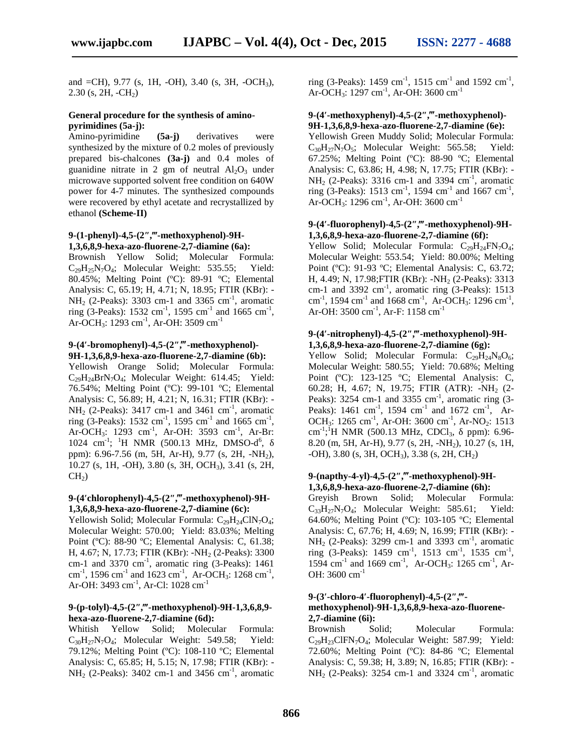and  $=CH$ ), 9.77 (s, 1H,  $-OH$ ), 3.40 (s, 3H,  $-OCH_3$ ),  $2.30$  (s,  $2H$ ,  $-CH<sub>2</sub>$ )

#### **General procedure for the synthesis of amino pyrimidines (5a-j):**

Amino-pyrimidine **(5a-j)** derivatives were synthesized by the mixture of 0.2 moles of previously prepared bis-chalcones **(3a-j)** and 0.4 moles of guanidine nitrate in 2 gm of neutral  $Al_2O_3$  under microwave supported solvent free condition on 640W power for 4-7 minutes. The synthesized compounds were recovered by ethyl acetate and recrystallized by ethanol **(Scheme-II)**

#### **9-(1-phenyl)-4,5-(2 ,‴-methoxyphenol)-9H- 1,3,6,8,9-hexa-azo-fluorene-2,7-diamine (6a):**

Brownish Yellow Solid; Molecular Formula:  $C_{29}H_{25}N_7O_4$ ; Molecular Weight: 535.55; Yield: 80.45%; Melting Point (ºC): 89-91 ºC; Elemental Analysis: C, 65.19; H, 4.71; N, 18.95; FTIR (KBr): -  $NH<sub>2</sub>$  (2-Peaks): 3303 cm-1 and 3365 cm<sup>-1</sup>, aromatic ring (3-Peaks): 1532 cm<sup>-1</sup>, 1595 cm<sup>-1</sup> and 1665 cm<sup>-1</sup>, Ar-OCH<sub>3</sub>: 1293 cm<sup>-1</sup>, Ar-OH: 3509 cm<sup>-1</sup>

#### **9-(4 -bromophenyl)-4,5-(2″,‴-methoxyphenol)- 9H-1,3,6,8,9-hexa-azo-fluorene-2,7-diamine (6b):**

Yellowish Orange Solid; Molecular Formula: C29H24BrN7O4; Molecular Weight: 614.45; Yield: 76.54%; Melting Point (ºC): 99-101 ºC; Elemental Analysis: C, 56.89; H, 4.21; N, 16.31; FTIR (KBr): -  $NH<sub>2</sub>$  (2-Peaks): 3417 cm-1 and 3461 cm<sup>-1</sup>, aromatic ring (3-Peaks):  $1532 \text{ cm}^{-1}$ ,  $1595 \text{ cm}^{-1}$  and  $1665 \text{ cm}^{-1}$ , Ar-OCH<sub>3</sub>: 1293 cm<sup>-1</sup>, Ar-OH: 3593 cm<sup>-1</sup>, Ar-Br: 1024 cm<sup>-1</sup>; <sup>1</sup>H NMR (500.13 MHz, DMSO-d<sup>6</sup>,  $,$ ppm): 6.96-7.56 (m, 5H, Ar-H), 9.77 (s, 2H, -NH2), 10.27 (s, 1H, -OH), 3.80 (s, 3H, OCH3), 3.41 (s, 2H,  $CH<sub>2</sub>$ )

### **9-(4 chlorophenyl)-4,5-(2″,‴-methoxyphenol)-9H- 1,3,6,8,9-hexa-azo-fluorene-2,7-diamine (6c):**

Yellowish Solid; Molecular Formula:  $C_{29}H_{24}CIN_7O_4$ ; Molecular Weight: 570.00; Yield: 83.03%; Melting Point (ºC): 88-90 ºC; Elemental Analysis: C, 61.38; H, 4.67; N, 17.73; FTIR (KBr): -NH<sub>2</sub> (2-Peaks): 3300 cm-1 and 3370 cm<sup>-1</sup>, aromatic ring (3-Peaks):  $1461$ cm<sup>-1</sup>, 1596 cm<sup>-1</sup> and 1623 cm<sup>-1</sup>, Ar-OCH<sub>3</sub>: 1268 cm<sup>-1</sup>, Ar-OH: 3493 cm<sup>-1</sup>, Ar-Cl: 1028 cm<sup>-1</sup>

#### **9-(p-tolyl)-4,5-(2″,‴-methoxyphenol)-9H-1,3,6,8,9 hexa-azo-fluorene-2,7-diamine (6d):**

Whitish Yellow Solid; Molecular Formula:  $C_{30}H_{27}N_7O_4$ ; Molecular Weight: 549.58; Yield: 79.12%; Melting Point (ºC): 108-110 ºC; Elemental Analysis: C, 65.85; H, 5.15; N, 17.98; FTIR (KBr): -  $NH<sub>2</sub>$  (2-Peaks): 3402 cm-1 and 3456 cm<sup>-1</sup>, aromatic

ring (3-Peaks):  $1459 \text{ cm}^{-1}$ ,  $1515 \text{ cm}^{-1}$  and  $1592 \text{ cm}^{-1}$ , Ar-OCH<sub>3</sub>: 1297 cm<sup>-1</sup>, Ar-OH: 3600 cm<sup>-1</sup>

### **9-(4 -methoxyphenyl)-4,5-(2″,‴-methoxyphenol)- 9H-1,3,6,8,9-hexa-azo-fluorene-2,7-diamine (6e):**

Yellowish Green Muddy Solid; Molecular Formula:  $C_{30}H_{27}N_7O_5$ ; Molecular Weight: 565.58; Yield: 67.25%; Melting Point (ºC): 88-90 ºC; Elemental Analysis: C, 63.86; H, 4.98; N, 17.75; FTIR (KBr): -  $NH<sub>2</sub>$  (2-Peaks): 3316 cm-1 and 3394 cm<sup>-1</sup>, aromatic ring (3-Peaks): 1513 cm<sup>-1</sup>, 1594 cm<sup>-1</sup> and 1667 cm<sup>-1</sup>, Ar-OCH<sub>3</sub>: 1296 cm<sup>-1</sup>, Ar-OH: 3600 cm<sup>-1</sup>

#### **9-(4 -fluorophenyl)-4,5-(2″,‴-methoxyphenol)-9H- 1,3,6,8,9-hexa-azo-fluorene-2,7-diamine (6f):**

Yellow Solid; Molecular Formula:  $C_{29}H_{24}FN_{7}O_{4}$ ; Molecular Weight: 553.54; Yield: 80.00%; Melting Point (ºC): 91-93 ºC; Elemental Analysis: C, 63.72; H, 4.49; N, 17.98; FTIR (KBr): -NH<sub>2</sub> (2-Peaks): 3313 cm-1 and 3392 cm<sup>-1</sup>, aromatic ring (3-Peaks): 1513 cm<sup>-1</sup>, 1594 cm<sup>-1</sup> and 1668 cm<sup>-1</sup>, Ar-OCH<sub>3</sub>: 1296 cm<sup>-1</sup>, Ar-OH: 3500 cm<sup>-1</sup>, Ar-F: 1158 cm<sup>-1</sup>

#### **9-(4 -nitrophenyl)-4,5-(2″,‴-methoxyphenol)-9H- 1,3,6,8,9-hexa-azo-fluorene-2,7-diamine (6g):**

Yellow Solid; Molecular Formula:  $C_{29}H_{24}N_8O_6$ ; Molecular Weight: 580.55; Yield: 70.68%; Melting Point (°C): 123-125 °C; Elemental Analysis: C, 60.28; H, 4.67; N, 19.75; FTIR (ATR): -NH<sub>2</sub> (2-Peaks):  $3254$  cm-1 and  $3355$  cm<sup>-1</sup>, aromatic ring  $(3-$ Peaks): 1461 cm<sup>-1</sup>, 1594 cm<sup>-1</sup> and 1672 cm<sup>-1</sup>, Ar-OCH<sub>3</sub>: 1265 cm<sup>-1</sup>, Ar-OH: 3600 cm<sup>-1</sup>, Ar-NO<sub>2</sub>: 1513 cm<sup>-1</sup>;<sup>1</sup>H NMR (500.13 MHz, CDCl<sub>3</sub>, ppm): 6.96-8.20 (m, 5H, Ar-H), 9.77 (s, 2H, -NH2), 10.27 (s, 1H,  $-OH$ ), 3.80 (s, 3H, OCH<sub>3</sub>), 3.38 (s, 2H, CH<sub>2</sub>)

#### **9-(napthy-4-yl)-4,5-(2″,‴-methoxyphenol)-9H- 1,3,6,8,9-hexa-azo-fluorene-2,7-diamine (6h):**

Greyish Brown Solid; Molecular Formula:  $C_{33}H_{27}N_7O_4$ ; Molecular Weight: 585.61; Yield: 64.60%; Melting Point (ºC): 103-105 ºC; Elemental Analysis: C, 67.76; H, 4.69; N, 16.99; FTIR (KBr): -  $NH<sub>2</sub>$  (2-Peaks): 3299 cm-1 and 3393 cm<sup>-1</sup>, aromatic ring (3-Peaks):  $1459 \text{ cm}^{-1}$ ,  $1513 \text{ cm}^{-1}$ ,  $1535 \text{ cm}^{-1}$ ,  $1594 \text{ cm}^{-1}$  and  $1669 \text{ cm}^{-1}$ , Ar-OCH<sub>3</sub>:  $1265 \text{ cm}^{-1}$ , Ar-OH: 3600 cm<sup>-1</sup>

#### **9-(3 -chloro-4 -fluorophenyl)-4,5-(2″,‴ methoxyphenol)-9H-1,3,6,8,9-hexa-azo-fluorene- 2,7-diamine (6i):**

Brownish Solid; Molecular Formula:  $C_{29}H_{23}CIFN<sub>7</sub>O<sub>4</sub>; Molecular Weight: 587.99; Yield:$ 72.60%; Melting Point (ºC): 84-86 ºC; Elemental Analysis: C, 59.38; H, 3.89; N, 16.85; FTIR (KBr): -  $NH<sub>2</sub>$  (2-Peaks): 3254 cm-1 and 3324 cm<sup>-1</sup>, aromatic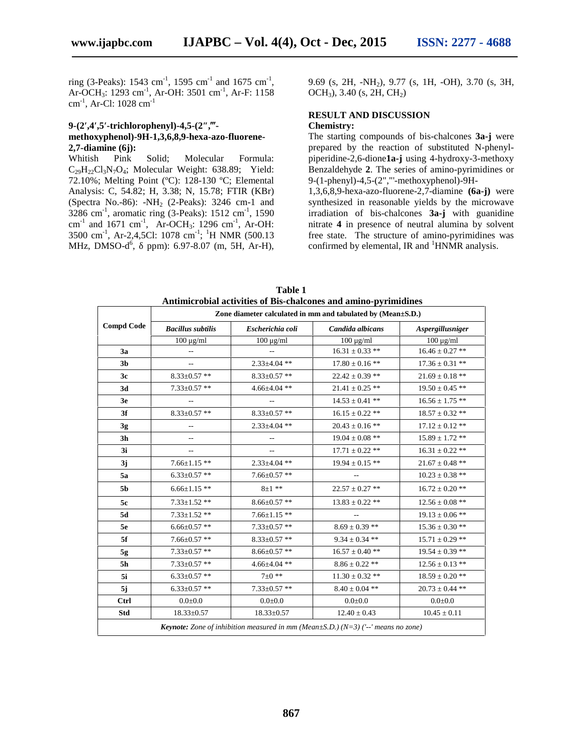ring (3-Peaks): 1543 cm<sup>-1</sup>, 1595 cm<sup>-1</sup> and 1675 cm<sup>-1</sup>, Ar-OCH<sub>3</sub>: 1293 cm<sup>-1</sup>, Ar-OH: 3501 cm<sup>-1</sup>, Ar-F: 1158 cm-1 , Ar-Cl: 1028 cm-1

# **9-(2 ,4 ,5 -trichlorophenyl)-4,5-(2″,‴ methoxyphenol)-9H-1,3,6,8,9-hexa-azo-fluorene- 2,7-diamine (6j):**

Pink Solid; Molecular Formula:  $C_{29}H_{22}Cl_3N_7O_4$ ; Molecular Weight: 638.89; Yield: 72.10%; Melting Point (ºC): 128-130 ºC; Elemental Analysis: C, 54.82; H, 3.38; N, 15.78; FTIR (KBr) (Spectra No.-86):  $-NH<sub>2</sub>$  (2-Peaks): 3246 cm-1 and  $3286 \text{ cm}^{-1}$ , aromatic ring (3-Peaks):  $1512 \text{ cm}^{-1}$ ,  $1590$ cm<sup>-1</sup> and 1671 cm<sup>-1</sup>, Ar-OCH<sub>3</sub>: 1296 cm<sup>-1</sup>, Ar-OH:  $3500 \text{ cm}^1$ , Ar-2,4,5Cl: 1078 cm<sup>-1</sup>; <sup>1</sup>H NMR (500.13 MHz, DMSO-d<sup>6</sup>, ppm): 6.97-8.07 (m, 5H, Ar-H),

9.69 (s, 2H, -NH2), 9.77 (s, 1H, -OH), 3.70 (s, 3H,  $OCH<sub>3</sub>$ , 3.40 (s, 2H, CH<sub>2</sub>)

#### **RESULT AND DISCUSSION Chemistry:**

The starting compounds of bis-chalcones **3a-j** were prepared by the reaction of substituted N-phenyl piperidine-2,6-dione**1a-j** using 4-hydroxy-3-methoxy Benzaldehyde **2**. The series of amino-pyrimidines or 9-(1-phenyl)-4,5-(2","'-methoxyphenol)-9H-

1,3,6,8,9-hexa-azo-fluorene-2,7-diamine **(6a-j)** were synthesized in reasonable yields by the microwave irradiation of bis-chalcones **3a-j** with guanidine nitrate **4** in presence of neutral alumina by solvent free state. The structure of amino-pyrimidines was confirmed by elemental, IR and  ${}^{1}$ HNMR analysis.

| <b>Compd Code</b> | Zone diameter calculated in mm and tabulated by (Mean±S.D.) |                          |                     |                     |
|-------------------|-------------------------------------------------------------|--------------------------|---------------------|---------------------|
|                   | <b>Bacillus</b> subtilis                                    | Escherichia coli         | Candida albicans    | Aspergillusniger    |
|                   | $100 \mu g/ml$                                              | $100 \mu g/ml$           | $100 \mu g/ml$      | $100 \mu g/ml$      |
| 3a                | $\overline{\phantom{a}}$                                    | $- -$                    | $16.31 \pm 0.33$ ** | $16.46 \pm 0.27$ ** |
| 3 <sub>b</sub>    |                                                             | $2.33 \pm 4.04$ **       | $17.80 \pm 0.16$ ** | $17.36\pm0.31$ **   |
| 3c                | $8.33 \pm 0.57$ **                                          | $8.33 \pm 0.57$ **       | $22.42 \pm 0.39$ ** | $21.69 \pm 0.18$ ** |
| 3d                | $7.33 \pm 0.57$ **                                          | $4.66 \pm 4.04$ **       | $21.41 \pm 0.25$ ** | $19.50 \pm 0.45$ ** |
| 3 <sub>e</sub>    | $\qquad \qquad -$                                           | $\overline{\phantom{m}}$ | $14.53 \pm 0.41$ ** | $16.56\pm1.75$ **   |
| 3f                | $8.33 \pm 0.57$ **                                          | $8.33 \pm 0.57$ **       | $16.15 \pm 0.22$ ** | $18.57 \pm 0.32$ ** |
| 3g                | $\overline{\phantom{a}}$                                    | $2.33 \pm 4.04$ **       | $20.43 \pm 0.16$ ** | $17.12 \pm 0.12$ ** |
| 3 <sub>h</sub>    | $\overline{a}$                                              | $\overline{\phantom{a}}$ | $19.04 \pm 0.08$ ** | $15.89 \pm 1.72$ ** |
| 3i                |                                                             |                          | $17.71 \pm 0.22$ ** | $16.31 \pm 0.22$ ** |
| 3j                | $7.66 \pm 1.15$ **                                          | $2.33 \pm 4.04$ **       | $19.94 \pm 0.15$ ** | $21.67 \pm 0.48$ ** |
| 5a                | $6.33 \pm 0.57$ **                                          | $7.66 \pm 0.57$ **       |                     | $10.23 \pm 0.38$ ** |
| 5b                | $6.66 \pm 1.15$ **                                          | $8 + 1$ **               | $22.57 \pm 0.27$ ** | $16.72 \pm 0.20$ ** |
| 5c                | $7.33 \pm 1.52$ **                                          | $8.66 \pm 0.57$ **       | $13.83 \pm 0.22$ ** | $12.56 \pm 0.08$ ** |
| 5d                | $7.33 \pm 1.52$ **                                          | $7.66 \pm 1.15$ **       | $\overline{a}$      | $19.13 \pm 0.06$ ** |
| 5e                | $6.66 \pm 0.57$ **                                          | $7.33 \pm 0.57$ **       | $8.69 \pm 0.39$ **  | $15.36 \pm 0.30$ ** |
| 5f                | $7.66 \pm 0.57$ **                                          | $8.33 \pm 0.57$ **       | $9.34 \pm 0.34$ **  | $15.71 \pm 0.29$ ** |
| 5g                | $7.33 \pm 0.57$ **                                          | $8.66 \pm 0.57$ **       | $16.57 \pm 0.40$ ** | $19.54 \pm 0.39$ ** |
| 5 <sub>h</sub>    | $7.33 \pm 0.57$ **                                          | $4.66 \pm 4.04$ **       | $8.86 \pm 0.22$ **  | $12.56 \pm 0.13$ ** |
| 5i                | $6.33 \pm 0.57$ **                                          | $7 + 0$ **               | $11.30 \pm 0.32$ ** | $18.59 \pm 0.20$ ** |
| 5j                | $6.33 \pm 0.57$ **                                          | $7.33 \pm 0.57$ **       | $8.40 \pm 0.04$ **  | $20.73 \pm 0.44$ ** |
| <b>Ctrl</b>       | $0.0 \pm 0.0$                                               | $0.0 + 0.0$              | $0.0 \pm 0.0$       | $0.0 \pm 0.0$       |
| <b>Std</b>        | 18.33±0.57                                                  | 18.33±0.57               | $12.40 \pm 0.43$    | $10.45 \pm 0.11$    |

**Table 1 Antimicrobial activities of Bis-chalcones and amino-pyrimidines**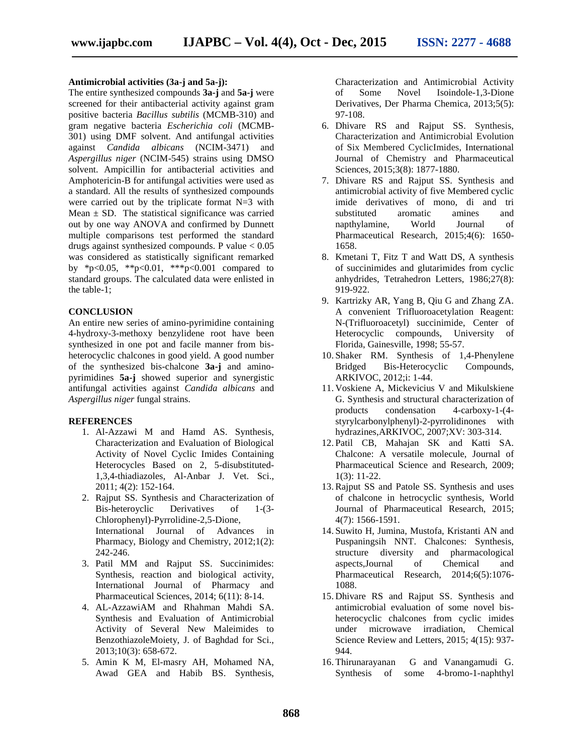#### **Antimicrobial activities (3a-j and 5a-j):**

The entire synthesized compounds **3a-j** and **5a-j** were screened for their antibacterial activity against gram positive bacteria *Bacillus subtilis* (MCMB-310) and gram negative bacteria *Escherichia coli* (MCMB- 301) using DMF solvent. And antifungal activities against *Candida albicans* (NCIM-3471) and *Aspergillus niger* (NCIM-545) strains using DMSO solvent. Ampicillin for antibacterial activities and Amphotericin-B for antifungal activities were used as a standard. All the results of synthesized compounds were carried out by the triplicate format N=3 with Mean  $\pm$  SD. The statistical significance was carried out by one way ANOVA and confirmed by Dunnett multiple comparisons test performed the standard drugs against synthesized compounds. P value  $< 0.05$ was considered as statistically significant remarked by \*p<0.05, \*\*p<0.01, \*\*\*p<0.001 compared to standard groups. The calculated data were enlisted in the table-1;

#### **CONCLUSION**

An entire new series of amino-pyrimidine containing 4-hydroxy-3-methoxy benzylidene root have been synthesized in one pot and facile manner from bis heterocyclic chalcones in good yield. A good number of the synthesized bis-chalcone **3a-j** and amino pyrimidines **5a-j** showed superior and synergistic antifungal activities against *Candida albicans* and *Aspergillus niger* fungal strains.

#### **REFERENCES**

- 1. Al-Azzawi M and Hamd AS. Synthesis, Characterization and Evaluation of Biological Activity of Novel Cyclic Imides Containing Heterocycles Based on 2, 5-disubstituted- 1,3,4-thiadiazoles, Al-Anbar J. Vet. Sci., 2011; 4(2): 152-164.
- 2. Rajput SS. Synthesis and Characterization of Bis-heteroyclic Derivatives of 1-(3- Chlorophenyl)-Pyrrolidine-2,5-Dione, International Journal of Advances in Pharmacy, Biology and Chemistry, 2012;1(2): 242-246.
- 3. Patil MM and Rajput SS. Succinimides: Synthesis, reaction and biological activity, International Journal of Pharmacy and Pharmaceutical Sciences, 2014; 6(11): 8-14.
- 4. AL-AzzawiAM and Rhahman Mahdi SA. Synthesis and Evaluation of Antimicrobial Activity of Several New Maleimides to BenzothiazoleMoiety, J. of Baghdad for Sci., 2013;10(3): 658-672.
- 5. Amin K M, El-masry AH, Mohamed NA, Awad GEA and Habib BS. Synthesis,

Characterization and Antimicrobial Activity of Some Novel Isoindole-1,3-Dione Derivatives, Der Pharma Chemica, 2013;5(5): 97-108.

- 6. Dhivare RS and Rajput SS. Synthesis, Characterization and Antimicrobial Evolution of Six Membered CyclicImides, International Journal of Chemistry and Pharmaceutical Sciences, 2015;3(8): 1877-1880.
- 7. Dhivare RS and Rajput SS. Synthesis and antimicrobial activity of five Membered cyclic imide derivatives of mono, di and tri substituted aromatic amines and napthylamine, World Journal of Pharmaceutical Research, 2015;4(6): 1650- 1658.
- 8. Kmetani T, Fitz T and Watt DS, A synthesis of succinimides and glutarimides from cyclic anhydrides, Tetrahedron Letters, 1986;27(8): 919-922.
- 9. Kartrizky AR, Yang B, Qiu G and Zhang ZA. A convenient Trifluoroacetylation Reagent: N-(Trifluoroacetyl) succinimide, Center of Heterocyclic compounds, University of Florida, Gainesville, 1998; 55-57.
- 10. Shaker RM. Synthesis of 1,4-Phenylene Bridged Bis-Heterocyclic Compounds, ARKIVOC, 2012;i: 1-44.
- 11. Voskiene A, Mickevicius V and Mikulskiene G. Synthesis and structural characterization of products condensation 4-carboxy-1-(4 styrylcarbonylphenyl)-2-pyrrolidinones with hydrazines,ARKIVOC, 2007;XV: 303-314.
- 12. Patil CB, Mahajan SK and Katti SA. Chalcone: A versatile molecule, Journal of Pharmaceutical Science and Research, 2009; 1(3): 11-22.
- 13.Rajput SS and Patole SS. Synthesis and uses of chalcone in hetrocyclic synthesis, World Journal of Pharmaceutical Research, 2015; 4(7): 1566-1591.
- 14. Suwito H, Jumina, Mustofa, Kristanti AN and Puspaningsih NNT. Chalcones: Synthesis, structure diversity and pharmacological aspects,Journal of Chemical and Pharmaceutical Research, 2014;6(5):1076- 1088.
- 15. Dhivare RS and Rajput SS. Synthesis and antimicrobial evaluation of some novel bis heterocyclic chalcones from cyclic imides under microwave irradiation, Chemical Science Review and Letters, 2015; 4(15): 937- 944.
- 16. Thirunarayanan G and Vanangamudi G. Synthesis of some 4-bromo-1-naphthyl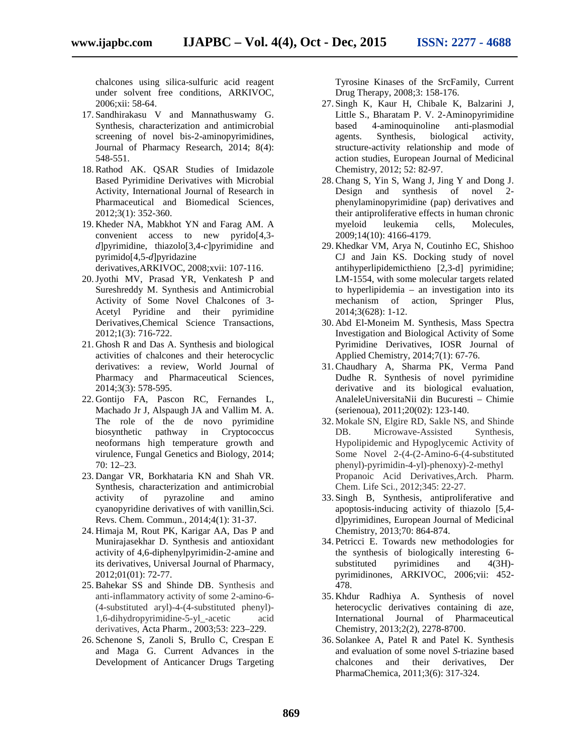chalcones using silica-sulfuric acid reagent under solvent free conditions, ARKIVOC, 2006;xii: 58-64.

- 17. Sandhirakasu V and Mannathuswamy G. Synthesis, characterization and antimicrobial screening of novel bis-2-aminopyrimidines, Journal of Pharmacy Research, 2014; 8(4): 548-551.
- 18.Rathod AK. QSAR Studies of Imidazole Based Pyrimidine Derivatives with Microbial Activity, International Journal of Research in Pharmaceutical and Biomedical Sciences, 2012;3(1): 352-360.
- 19. Kheder NA, Mabkhot YN and Farag AM. A convenient access to new pyrido[4,3 *d*]pyrimidine, thiazolo[3,4-*c*]pyrimidine and pyrimido[4,5-*d*]pyridazine

derivatives,ARKIVOC, 2008;xvii: 107-116.

- 20.Jyothi MV, Prasad YR, Venkatesh P and Sureshreddy M. Synthesis and Antimicrobial Activity of Some Novel Chalcones of 3- Acetyl Pyridine and their pyrimidine Derivatives,Chemical Science Transactions, 2012;1(3): 716-722.
- 21. Ghosh R and Das A. Synthesis and biological activities of chalcones and their heterocyclic derivatives: a review, World Journal of Pharmacy and Pharmaceutical Sciences, 2014;3(3): 578-595.
- 22. Gontijo FA, Pascon RC, Fernandes L, Machado Jr J, Alspaugh JA and Vallim M. A. The role of the de novo pyrimidine biosynthetic pathway in Cryptococcus neoformans high temperature growth and virulence, Fungal Genetics and Biology, 2014; 70: 12–23.
- 23. Dangar VR, Borkhataria KN and Shah VR. Synthesis, characterization and antimicrobial activity of pyrazoline and amino cyanopyridine derivatives of with vanillin,Sci. Revs. Chem. Commun., 2014;4(1): 31-37.
- 24. Himaja M, Rout PK, Karigar AA, Das P and Munirajasekhar D. Synthesis and antioxidant activity of 4,6-diphenylpyrimidin-2-amine and its derivatives, Universal Journal of Pharmacy, 2012;01(01): 72-77.
- 25.Bahekar SS and Shinde DB. Synthesis and anti-inflammatory activity of some 2-amino-6- (4-substituted aryl)-4-(4-substituted phenyl)- 1,6-dihydropyrimidine-5-yl\_-acetic acid derivatives, Acta Pharm., 2003;53: 223–229.
- 26. Schenone S, Zanoli S, Brullo C, Crespan E and Maga G. Current Advances in the Development of Anticancer Drugs Targeting

Tyrosine Kinases of the SrcFamily, Current Drug Therapy, 2008;3: 158-176.

- 27. Singh K, Kaur H, Chibale K, Balzarini J, Little S., Bharatam P. V. 2-Aminopyrimidine based 4-aminoquinoline anti-plasmodial agents. Synthesis, biological activity, structure-activity relationship and mode of action studies, European Journal of Medicinal Chemistry, 2012; 52: 82-97.
- 28.Chang S, Yin S, Wang J, Jing Y and Dong J. Design and synthesis of novel phenylaminopyrimidine (pap) derivatives and their antiproliferative effects in human chronic myeloid leukemia cells, Molecules, 2009;14(10): 4166-4179.
- 29. Khedkar VM, Arya N, Coutinho EC, Shishoo CJ and Jain KS. Docking study of novel antihyperlipidemicthieno [2,3-d] pyrimidine; LM-1554, with some molecular targets related to hyperlipidemia – an investigation into its mechanism of action, Springer Plus, 2014;3(628): 1-12.
- 30. Abd El-Moneim M. Synthesis, Mass Spectra Investigation and Biological Activity of Some Pyrimidine Derivatives, IOSR Journal of Applied Chemistry, 2014;7(1): 67-76.
- 31.Chaudhary A, Sharma PK, Verma Pand Dudhe R. Synthesis of novel pyrimidine derivative and its biological evaluation, AnaleleUniversitaNii din Bucuresti – Chimie (serienoua), 2011;20(02): 123-140.
- 32. Mokale SN, Elgire RD, Sakle NS, and Shinde DB. Microwave-Assisted Synthesis, Hypolipidemic and Hypoglycemic Activity of Some Novel 2-(4-(2-Amino-6-(4-substituted phenyl)-pyrimidin-4-yl)-phenoxy)-2-methyl Propanoic Acid Derivatives,Arch. Pharm. Chem. Life Sci., 2012;345: 22-27.
- 33. Singh B, Synthesis, antiproliferative and apoptosis-inducing activity of thiazolo [5,4 d]pyrimidines, European Journal of Medicinal Chemistry, 2013;70: 864-874.
- 34. Petricci E. Towards new methodologies for the synthesis of biologically interesting 6 substituted pyrimidines and 4(3H)pyrimidinones, ARKIVOC, 2006;vii: 452- 478.
- 35. Khdur Radhiya A. Synthesis of novel heterocyclic derivatives containing di aze, International Journal of Pharmaceutical Chemistry, 2013;2(2), 2278-8700.
- 36. Solankee A, Patel R and Patel K. Synthesis and evaluation of some novel *S-*triazine based chalcones and their derivatives, Der PharmaChemica, 2011;3(6): 317-324.